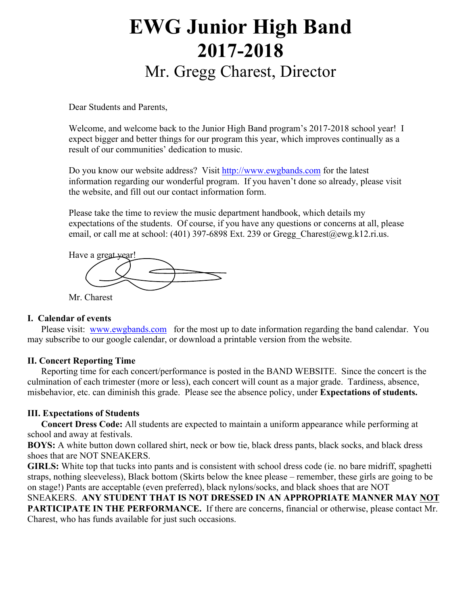# **EWG Junior High Band 2017-2018** Mr. Gregg Charest, Director

Dear Students and Parents,

Welcome, and welcome back to the Junior High Band program's 2017-2018 school year! I expect bigger and better things for our program this year, which improves continually as a result of our communities' dedication to music.

Do you know our website address? Visit http://www.ewgbands.com for the latest information regarding our wonderful program. If you haven't done so already, please visit the website, and fill out our contact information form.

Please take the time to review the music department handbook, which details my expectations of the students. Of course, if you have any questions or concerns at all, please email, or call me at school: (401) 397-6898 Ext. 239 or Gregg\_Charest@ewg.k12.ri.us.



Mr. Charest

#### **I. Calendar of events**

Please visit: www.ewgbands.com for the most up to date information regarding the band calendar. You may subscribe to our google calendar, or download a printable version from the website.

### **II. Concert Reporting Time**

Reporting time for each concert/performance is posted in the BAND WEBSITE. Since the concert is the culmination of each trimester (more or less), each concert will count as a major grade. Tardiness, absence, misbehavior, etc. can diminish this grade. Please see the absence policy, under **Expectations of students.**

### **III. Expectations of Students**

**Concert Dress Code:** All students are expected to maintain a uniform appearance while performing at school and away at festivals.

**BOYS:** A white button down collared shirt, neck or bow tie, black dress pants, black socks, and black dress shoes that are NOT SNEAKERS.

**GIRLS:** White top that tucks into pants and is consistent with school dress code (ie. no bare midriff, spaghetti straps, nothing sleeveless), Black bottom (Skirts below the knee please – remember, these girls are going to be on stage!) Pants are acceptable (even preferred), black nylons/socks, and black shoes that are NOT

SNEAKERS. **ANY STUDENT THAT IS NOT DRESSED IN AN APPROPRIATE MANNER MAY NOT PARTICIPATE IN THE PERFORMANCE.** If there are concerns, financial or otherwise, please contact Mr. Charest, who has funds available for just such occasions.